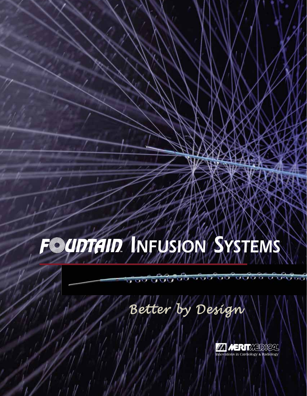# **F** *MUDICID* **MFUSION** SYSTEMS

7 76

## *Better by Design*

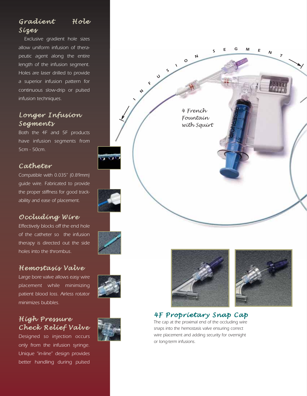## *Gradient Hole Sizes*

*Exclusive gradient hole sizes allow uniform infusion of therapeutic agent along the entire length of the infusion segment. Holes are laser drilled to provide a superior infusion pattern for continuous slow-drip or pulsed infusion techniques.*

### *Longer Infusion Segments*

*Both the 4F and 5F products have infusion segments from 5cm - 50cm.*

#### *Catheter*

*Compatible with 0.035" (0.89mm) guide wire. Fabricated to provide the proper stiffness for good trackability and ease of placement.*

## *Occluding Wire*

*Effectively blocks off the end hole of the catheter so the infusion therapy is directed out the side holes into the thrombus.* 

#### *Hemostasis Valve*

*Large bore valve allows easy wire placement while minimizing patient blood loss. Airless rotator minimizes bubbles.*

#### *High Pressure Check Relief Valve*

*Designed so injection occurs only from the infusion syringe. Unique "in-line" design provides better handling during pulsed*







## *4F Proprietary Snap Cap*

*The cap at the proximal end of the occluding wire snaps into the hemostasis valve ensuring correct wire placement and adding security for overnight or long-term infusions.*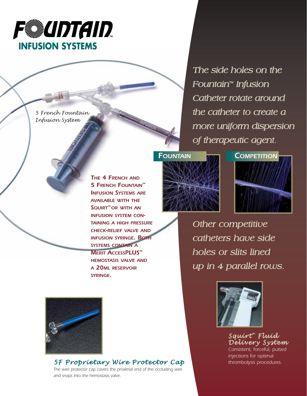

*5 French Fountain Infusion System*

> *THE 4 FRENCH AND 5 FRENCH FOUNTAIN™ INFUSION SYSTEMS ARE AVAILABLE WITH THE SQUIRT™ OR WITH AN INFUSION SYSTEM CON-TAINING A HIGH PRESSURE CHECK-RELIEF VALVE AND INFUSION SYRINGE. BOTH SYSTEMS CONTAIN A MERIT ACCESSPLUS™ HEMOSTASIS VALVE AND A 20ML RESERVOIR SYRINGE.*

*The side holes on the Fountain™ Infusion Catheter rotate around the catheter to create a more uniform dispersion of therapeutic agent.*





*Other competitive catheters have side holes or slits lined up in 4 parallel rows.* 



*Squirt ™ Fluid Delivery System Consistent, forceful, pulsed injections for optimal* 



#### *5F Proprietary Wire Protector Cap thrombolysis procedures.*

*The wire protector cap covers the proximal end of the occluding wire and snaps into the hemostasis valve.*